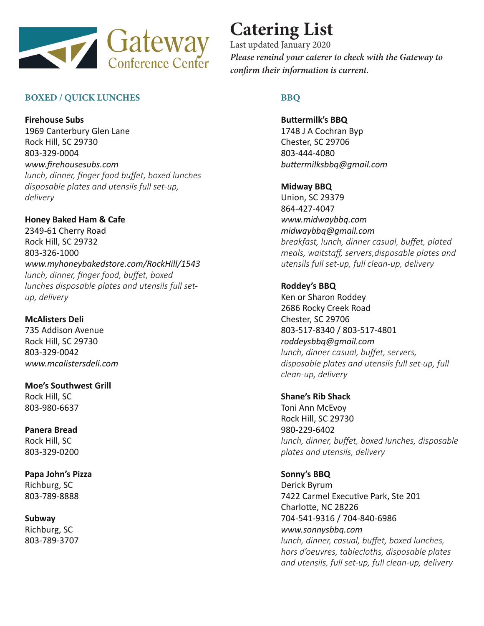

# **BOXED / QUICK LUNCHES**

**Firehouse Subs** 1969 Canterbury Glen Lane Rock Hill, SC 29730 803-329-0004 *www.firehousesubs.com lunch, dinner, finger food buffet, boxed lunches disposable plates and utensils full set-up, delivery*

**Honey Baked Ham & Cafe** 2349-61 Cherry Road Rock Hill, SC 29732 803-326-1000 *www.myhoneybakedstore.com/RockHill/1543 lunch, dinner, finger food, buffet, boxed lunches disposable plates and utensils full setup, delivery*

**McAlisters Deli** 735 Addison Avenue Rock Hill, SC 29730 803-329-0042 *www.mcalistersdeli.com*

**Moe's Southwest Grill** Rock Hill, SC 803-980-6637

**Panera Bread** Rock Hill, SC 803-329-0200

**Papa John's Pizza** Richburg, SC 803-789-8888

**Subway**  Richburg, SC 803-789-3707

# **Catering List**

Last updated January 2020 *Please remind your caterer to check with the Gateway to confirm their information is current.*

# **BBQ**

**Buttermilk's BBQ** 1748 J A Cochran Byp Chester, SC 29706 803-444-4080 *buttermilksbbq@gmail.com*

**Midway BBQ** Union, SC 29379 864-427-4047 *www.midwaybbq.com midwaybbq@gmail.com breakfast, lunch, dinner casual, buffet, plated meals, waitstaff, servers,disposable plates and utensils full set-up, full clean-up, delivery*

**Roddey's BBQ** Ken or Sharon Roddey 2686 Rocky Creek Road Chester, SC 29706 803-517-8340 / 803-517-4801 *roddeysbbq@gmail.com lunch, dinner casual, buffet, servers, disposable plates and utensils full set-up, full clean-up, delivery*

**Shane's Rib Shack**  Toni Ann McEvoy Rock Hill, SC 29730 980-229-6402 *lunch, dinner, buffet, boxed lunches, disposable plates and utensils, delivery*

# **Sonny's BBQ**

Derick Byrum 7422 Carmel Executive Park, Ste 201 Charlotte, NC 28226 704-541-9316 / 704-840-6986 *www.sonnysbbq.com lunch, dinner, casual, buffet, boxed lunches, hors d'oeuvres, tablecloths, disposable plates and utensils, full set-up, full clean-up, delivery*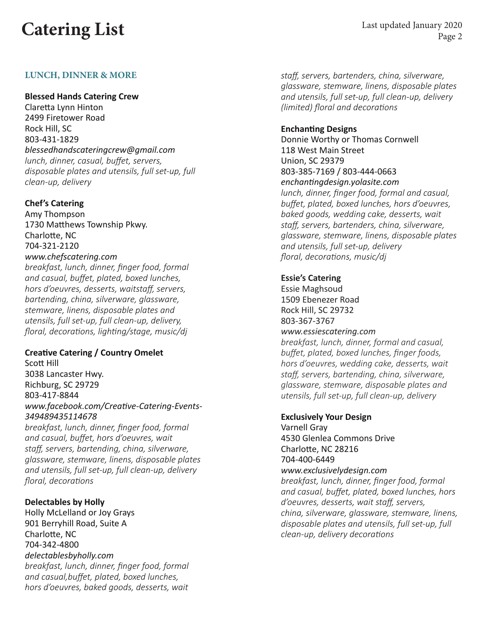# **Catering List** Last updated January 2020

Page 2

#### **LUNCH, DINNER & MORE**

#### **Blessed Hands Catering Crew**

Claretta Lynn Hinton 2499 Firetower Road Rock Hill, SC 803-431-1829 *blessedhandscateringcrew@gmail.com lunch, dinner, casual, buffet, servers, disposable plates and utensils, full set-up, full clean-up, delivery*

#### **Chef's Catering**

Amy Thompson 1730 Matthews Township Pkwy. Charlotte, NC 704-321-2120 *www.chefscatering.com breakfast, lunch, dinner, finger food, formal and casual, buffet, plated, boxed lunches, hors d'oeuvres, desserts, waitstaff, servers, bartending, china, silverware, glassware, stemware, linens, disposable plates and utensils, full set-up, full clean-up, delivery, floral, decorations, lighting/stage, music/dj*

#### **Creative Catering / Country Omelet**

Scott Hill 3038 Lancaster Hwy. Richburg, SC 29729 803-417-8844 *www.facebook.com/Creative-Catering-Events-349489435114678*

*breakfast, lunch, dinner, finger food, formal and casual, buffet, hors d'oeuvres, wait staff, servers, bartending, china, silverware, glassware, stemware, linens, disposable plates and utensils, full set-up, full clean-up, delivery floral, decorations*

**Delectables by Holly** Holly McLelland or Joy Grays 901 Berryhill Road, Suite A Charlotte, NC 704-342-4800 *delectablesbyholly.com breakfast, lunch, dinner, finger food, formal and casual,buffet, plated, boxed lunches, hors d'oeuvres, baked goods, desserts, wait*  *staff, servers, bartenders, china, silverware, glassware, stemware, linens, disposable plates and utensils, full set-up, full clean-up, delivery (limited) floral and decorations*

#### **Enchanting Designs**

Donnie Worthy or Thomas Cornwell 118 West Main Street Union, SC 29379 803-385-7169 / 803-444-0663 *enchantingdesign.yolasite.com lunch, dinner, finger food, formal and casual, buffet, plated, boxed lunches, hors d'oeuvres, baked goods, wedding cake, desserts, wait staff, servers, bartenders, china, silverware, glassware, stemware, linens, disposable plates* 

*and utensils, full set-up, delivery floral, decorations, music/dj*

#### **Essie's Catering**

Essie Maghsoud 1509 Ebenezer Road Rock Hill, SC 29732 803-367-3767

#### *www.essiescatering.com*

*breakfast, lunch, dinner, formal and casual, buffet, plated, boxed lunches, finger foods, hors d'oeuvres, wedding cake, desserts, wait staff, servers, bartending, china, silverware, glassware, stemware, disposable plates and utensils, full set-up, full clean-up, delivery*

#### **Exclusively Your Design**

Varnell Gray 4530 Glenlea Commons Drive Charlotte, NC 28216 704-400-6449 *www.exclusivelydesign.com breakfast, lunch, dinner, finger food, formal and casual, buffet, plated, boxed lunches, hors d'oeuvres, desserts, wait staff, servers, china, silverware, glassware, stemware, linens, disposable plates and utensils, full set-up, full clean-up, delivery decorations*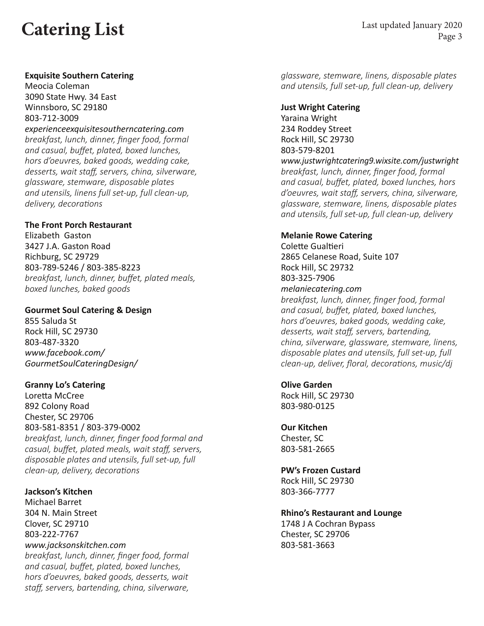# **Catering List** Last updated January 2020

## **Exquisite Southern Catering**

Meocia Coleman 3090 State Hwy. 34 East Winnsboro, SC 29180 803-712-3009

*experienceexquisitesoutherncatering.com breakfast, lunch, dinner, finger food, formal and casual, buffet, plated, boxed lunches, hors d'oeuvres, baked goods, wedding cake, desserts, wait staff, servers, china, silverware, glassware, stemware, disposable plates and utensils, linens full set-up, full clean-up, delivery, decorations*

### **The Front Porch Restaurant**

Elizabeth Gaston 3427 J.A. Gaston Road Richburg, SC 29729 803-789-5246 / 803-385-8223 *breakfast, lunch, dinner, buffet, plated meals, boxed lunches, baked goods*

### **Gourmet Soul Catering & Design**

855 Saluda St Rock Hill, SC 29730 803-487-3320 *www.facebook.com/ GourmetSoulCateringDesign/*

## **Granny Lo's Catering**

Loretta McCree 892 Colony Road Chester, SC 29706 803-581-8351 / 803-379-0002 *breakfast, lunch, dinner, finger food formal and casual, buffet, plated meals, wait staff, servers, disposable plates and utensils, full set-up, full clean-up, delivery, decorations*

**Jackson's Kitchen**  Michael Barret 304 N. Main Street Clover, SC 29710 803-222-7767 *www.jacksonskitchen.com breakfast, lunch, dinner, finger food, formal and casual, buffet, plated, boxed lunches, hors d'oeuvres, baked goods, desserts, wait staff, servers, bartending, china, silverware,* 

*glassware, stemware, linens, disposable plates and utensils, full set-up, full clean-up, delivery*

**Just Wright Catering**  Yaraina Wright 234 Roddey Street Rock Hill, SC 29730 803-579-8201 *www.justwrightcatering9.wixsite.com/justwright breakfast, lunch, dinner, finger food, formal and casual, buffet, plated, boxed lunches, hors d'oeuvres, wait staff, servers, china, silverware, glassware, stemware, linens, disposable plates and utensils, full set-up, full clean-up, delivery*

### **Melanie Rowe Catering**

Colette Gualtieri 2865 Celanese Road, Suite 107 Rock Hill, SC 29732 803-325-7906 *melaniecatering.com breakfast, lunch, dinner, finger food, formal and casual, buffet, plated, boxed lunches, hors d'oeuvres, baked goods, wedding cake, desserts, wait staff, servers, bartending, china, silverware, glassware, stemware, linens, disposable plates and utensils, full set-up, full clean-up, deliver, floral, decorations, music/dj*

**Olive Garden** Rock Hill, SC 29730 803-980-0125

**Our Kitchen** Chester, SC 803-581-2665

**PW's Frozen Custard**  Rock Hill, SC 29730 803-366-7777

## **Rhino's Restaurant and Lounge**

1748 J A Cochran Bypass Chester, SC 29706 803-581-3663